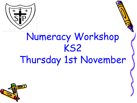

## Numeracy Workshop KS2 Thursday 1st November

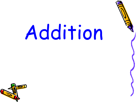# Addition

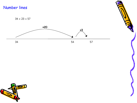#### Number lines

 $34 + 23 = 57$ 



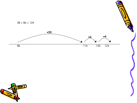

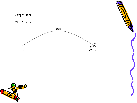#### Compensation



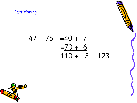#### Partitioning

### $47 + 76 = 40 + 7$  $=70 + 6$  $110 + 13 = 123$

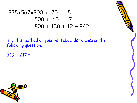### $375+567=300 + 70 + 5$  $500 + 60 + 7$  $800 + 130 + 12 = 942$

Try this method on your whiteboards to answer the following question.

 $329 + 217 =$ 



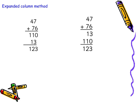Expanded column method



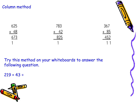#### Column method

625 783  $+ 48$ + 42  $673$ 825 1

Try this method on your whiteboards to answer the following question.

 $219 + 43 =$ 





367

 $+ 85$ 

 $452$ 

11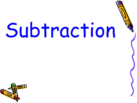# Subtraction

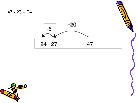$47 - 23 = 24$ 





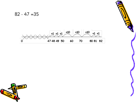

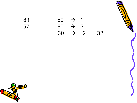

89 = 80  $\rightarrow$  9  $-57$  $\rightarrow$  7  $30 \rightarrow 2 = 32$ 

![](_page_12_Picture_2.jpeg)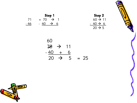![](_page_13_Picture_0.jpeg)

![](_page_13_Figure_1.jpeg)

![](_page_13_Figure_2.jpeg)

$$
60\n70 \t 70 \t 11\n-40 + 6\n20 \t 75 = 25
$$

![](_page_13_Picture_4.jpeg)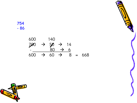754 - 86

> 600 140 700  $\rightarrow$  50  $\rightarrow$  14 - 80 → 6  $600 \rightarrow 60 \rightarrow 8 = 668$

![](_page_14_Picture_2.jpeg)

![](_page_14_Picture_3.jpeg)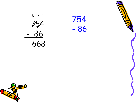![](_page_15_Picture_0.jpeg)

6 14 1 754 - 86 668

![](_page_15_Picture_2.jpeg)

![](_page_15_Picture_3.jpeg)